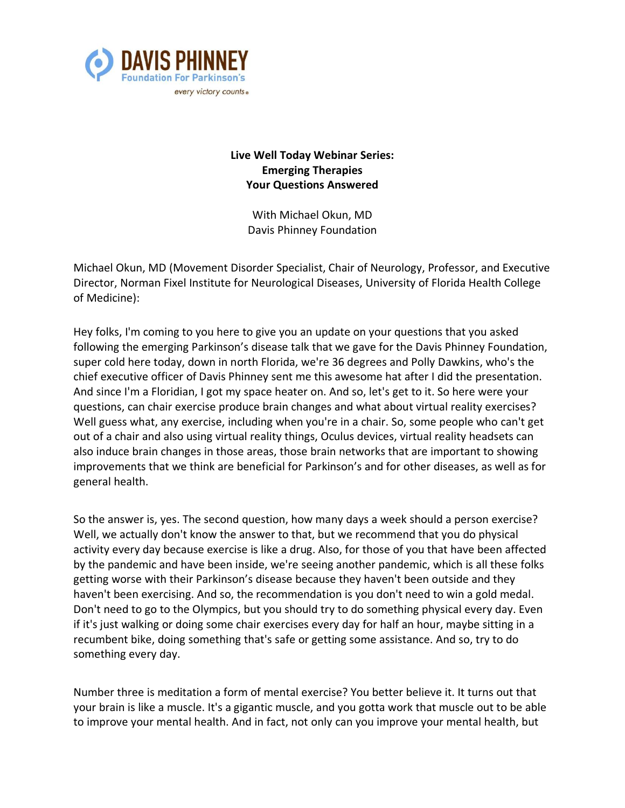

## **Live Well Today Webinar Series: Emerging Therapies Your Questions Answered**

With Michael Okun, MD Davis Phinney Foundation

Michael Okun, MD (Movement Disorder Specialist, Chair of Neurology, Professor, and Executive Director, Norman Fixel Institute for Neurological Diseases, University of Florida Health College of Medicine):

Hey folks, I'm coming to you here to give you an update on your questions that you asked following the emerging Parkinson's disease talk that we gave for the Davis Phinney Foundation, super cold here today, down in north Florida, we're 36 degrees and Polly Dawkins, who's the chief executive officer of Davis Phinney sent me this awesome hat after I did the presentation. And since I'm a Floridian, I got my space heater on. And so, let's get to it. So here were your questions, can chair exercise produce brain changes and what about virtual reality exercises? Well guess what, any exercise, including when you're in a chair. So, some people who can't get out of a chair and also using virtual reality things, Oculus devices, virtual reality headsets can also induce brain changes in those areas, those brain networks that are important to showing improvements that we think are beneficial for Parkinson's and for other diseases, as well as for general health.

So the answer is, yes. The second question, how many days a week should a person exercise? Well, we actually don't know the answer to that, but we recommend that you do physical activity every day because exercise is like a drug. Also, for those of you that have been affected by the pandemic and have been inside, we're seeing another pandemic, which is all these folks getting worse with their Parkinson's disease because they haven't been outside and they haven't been exercising. And so, the recommendation is you don't need to win a gold medal. Don't need to go to the Olympics, but you should try to do something physical every day. Even if it's just walking or doing some chair exercises every day for half an hour, maybe sitting in a recumbent bike, doing something that's safe or getting some assistance. And so, try to do something every day.

Number three is meditation a form of mental exercise? You better believe it. It turns out that your brain is like a muscle. It's a gigantic muscle, and you gotta work that muscle out to be able to improve your mental health. And in fact, not only can you improve your mental health, but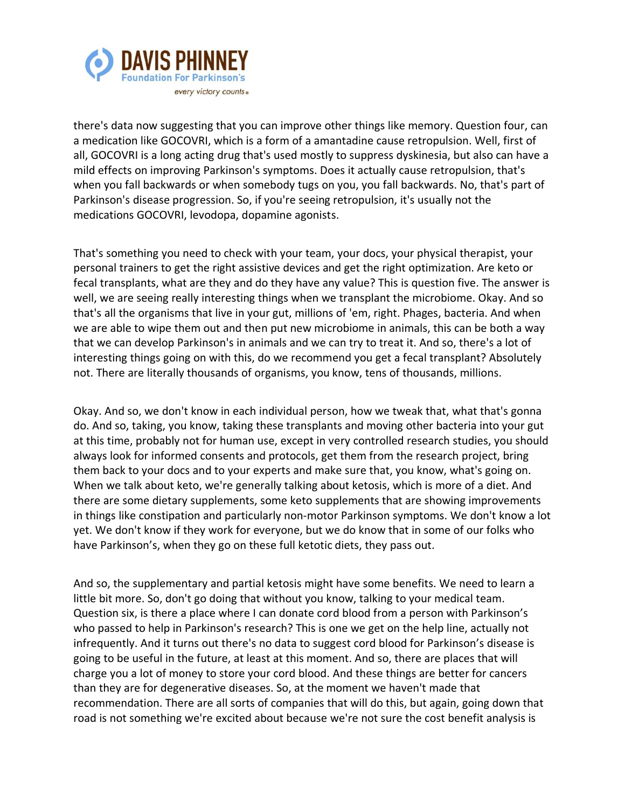

there's data now suggesting that you can improve other things like memory. Question four, can a medication like GOCOVRI, which is a form of a amantadine cause retropulsion. Well, first of all, GOCOVRI is a long acting drug that's used mostly to suppress dyskinesia, but also can have a mild effects on improving Parkinson's symptoms. Does it actually cause retropulsion, that's when you fall backwards or when somebody tugs on you, you fall backwards. No, that's part of Parkinson's disease progression. So, if you're seeing retropulsion, it's usually not the medications GOCOVRI, levodopa, dopamine agonists.

That's something you need to check with your team, your docs, your physical therapist, your personal trainers to get the right assistive devices and get the right optimization. Are keto or fecal transplants, what are they and do they have any value? This is question five. The answer is well, we are seeing really interesting things when we transplant the microbiome. Okay. And so that's all the organisms that live in your gut, millions of 'em, right. Phages, bacteria. And when we are able to wipe them out and then put new microbiome in animals, this can be both a way that we can develop Parkinson's in animals and we can try to treat it. And so, there's a lot of interesting things going on with this, do we recommend you get a fecal transplant? Absolutely not. There are literally thousands of organisms, you know, tens of thousands, millions.

Okay. And so, we don't know in each individual person, how we tweak that, what that's gonna do. And so, taking, you know, taking these transplants and moving other bacteria into your gut at this time, probably not for human use, except in very controlled research studies, you should always look for informed consents and protocols, get them from the research project, bring them back to your docs and to your experts and make sure that, you know, what's going on. When we talk about keto, we're generally talking about ketosis, which is more of a diet. And there are some dietary supplements, some keto supplements that are showing improvements in things like constipation and particularly non-motor Parkinson symptoms. We don't know a lot yet. We don't know if they work for everyone, but we do know that in some of our folks who have Parkinson's, when they go on these full ketotic diets, they pass out.

And so, the supplementary and partial ketosis might have some benefits. We need to learn a little bit more. So, don't go doing that without you know, talking to your medical team. Question six, is there a place where I can donate cord blood from a person with Parkinson's who passed to help in Parkinson's research? This is one we get on the help line, actually not infrequently. And it turns out there's no data to suggest cord blood for Parkinson's disease is going to be useful in the future, at least at this moment. And so, there are places that will charge you a lot of money to store your cord blood. And these things are better for cancers than they are for degenerative diseases. So, at the moment we haven't made that recommendation. There are all sorts of companies that will do this, but again, going down that road is not something we're excited about because we're not sure the cost benefit analysis is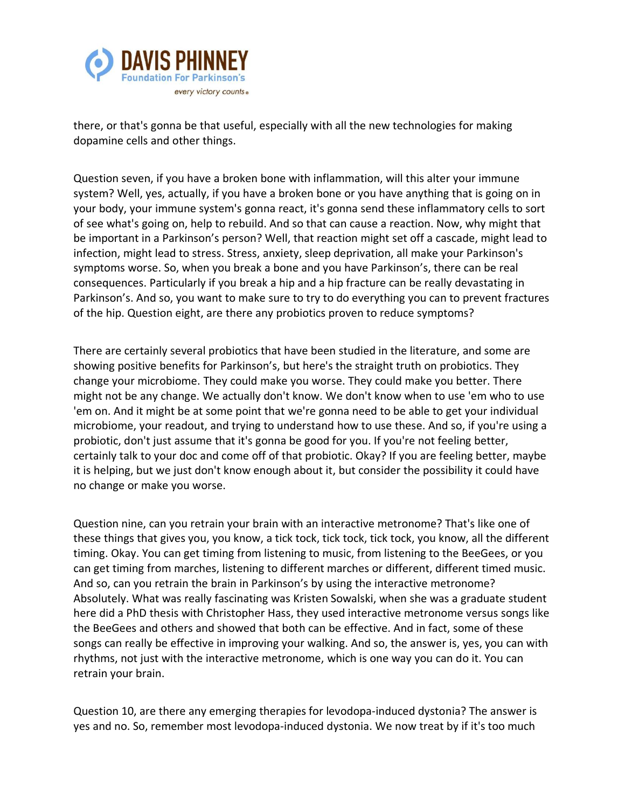

there, or that's gonna be that useful, especially with all the new technologies for making dopamine cells and other things.

Question seven, if you have a broken bone with inflammation, will this alter your immune system? Well, yes, actually, if you have a broken bone or you have anything that is going on in your body, your immune system's gonna react, it's gonna send these inflammatory cells to sort of see what's going on, help to rebuild. And so that can cause a reaction. Now, why might that be important in a Parkinson's person? Well, that reaction might set off a cascade, might lead to infection, might lead to stress. Stress, anxiety, sleep deprivation, all make your Parkinson's symptoms worse. So, when you break a bone and you have Parkinson's, there can be real consequences. Particularly if you break a hip and a hip fracture can be really devastating in Parkinson's. And so, you want to make sure to try to do everything you can to prevent fractures of the hip. Question eight, are there any probiotics proven to reduce symptoms?

There are certainly several probiotics that have been studied in the literature, and some are showing positive benefits for Parkinson's, but here's the straight truth on probiotics. They change your microbiome. They could make you worse. They could make you better. There might not be any change. We actually don't know. We don't know when to use 'em who to use 'em on. And it might be at some point that we're gonna need to be able to get your individual microbiome, your readout, and trying to understand how to use these. And so, if you're using a probiotic, don't just assume that it's gonna be good for you. If you're not feeling better, certainly talk to your doc and come off of that probiotic. Okay? If you are feeling better, maybe it is helping, but we just don't know enough about it, but consider the possibility it could have no change or make you worse.

Question nine, can you retrain your brain with an interactive metronome? That's like one of these things that gives you, you know, a tick tock, tick tock, tick tock, you know, all the different timing. Okay. You can get timing from listening to music, from listening to the BeeGees, or you can get timing from marches, listening to different marches or different, different timed music. And so, can you retrain the brain in Parkinson's by using the interactive metronome? Absolutely. What was really fascinating was Kristen Sowalski, when she was a graduate student here did a PhD thesis with Christopher Hass, they used interactive metronome versus songs like the BeeGees and others and showed that both can be effective. And in fact, some of these songs can really be effective in improving your walking. And so, the answer is, yes, you can with rhythms, not just with the interactive metronome, which is one way you can do it. You can retrain your brain.

Question 10, are there any emerging therapies for levodopa-induced dystonia? The answer is yes and no. So, remember most levodopa-induced dystonia. We now treat by if it's too much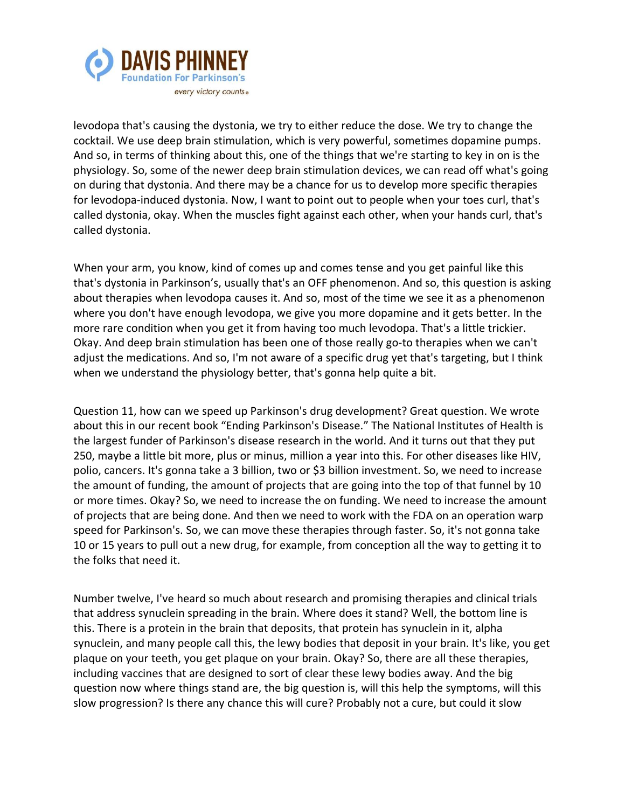

levodopa that's causing the dystonia, we try to either reduce the dose. We try to change the cocktail. We use deep brain stimulation, which is very powerful, sometimes dopamine pumps. And so, in terms of thinking about this, one of the things that we're starting to key in on is the physiology. So, some of the newer deep brain stimulation devices, we can read off what's going on during that dystonia. And there may be a chance for us to develop more specific therapies for levodopa-induced dystonia. Now, I want to point out to people when your toes curl, that's called dystonia, okay. When the muscles fight against each other, when your hands curl, that's called dystonia.

When your arm, you know, kind of comes up and comes tense and you get painful like this that's dystonia in Parkinson's, usually that's an OFF phenomenon. And so, this question is asking about therapies when levodopa causes it. And so, most of the time we see it as a phenomenon where you don't have enough levodopa, we give you more dopamine and it gets better. In the more rare condition when you get it from having too much levodopa. That's a little trickier. Okay. And deep brain stimulation has been one of those really go-to therapies when we can't adjust the medications. And so, I'm not aware of a specific drug yet that's targeting, but I think when we understand the physiology better, that's gonna help quite a bit.

Question 11, how can we speed up Parkinson's drug development? Great question. We wrote about this in our recent book "Ending Parkinson's Disease." The National Institutes of Health is the largest funder of Parkinson's disease research in the world. And it turns out that they put 250, maybe a little bit more, plus or minus, million a year into this. For other diseases like HIV, polio, cancers. It's gonna take a 3 billion, two or \$3 billion investment. So, we need to increase the amount of funding, the amount of projects that are going into the top of that funnel by 10 or more times. Okay? So, we need to increase the on funding. We need to increase the amount of projects that are being done. And then we need to work with the FDA on an operation warp speed for Parkinson's. So, we can move these therapies through faster. So, it's not gonna take 10 or 15 years to pull out a new drug, for example, from conception all the way to getting it to the folks that need it.

Number twelve, I've heard so much about research and promising therapies and clinical trials that address synuclein spreading in the brain. Where does it stand? Well, the bottom line is this. There is a protein in the brain that deposits, that protein has synuclein in it, alpha synuclein, and many people call this, the lewy bodies that deposit in your brain. It's like, you get plaque on your teeth, you get plaque on your brain. Okay? So, there are all these therapies, including vaccines that are designed to sort of clear these lewy bodies away. And the big question now where things stand are, the big question is, will this help the symptoms, will this slow progression? Is there any chance this will cure? Probably not a cure, but could it slow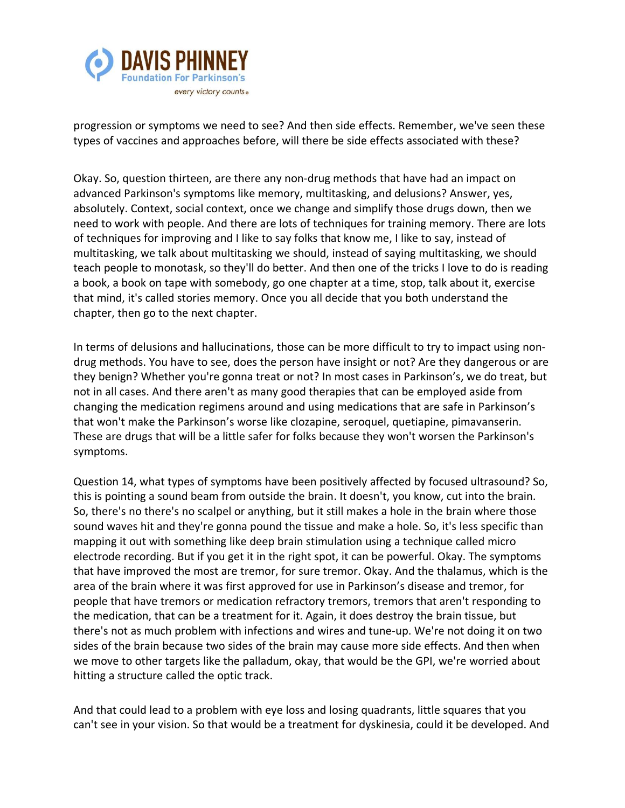

progression or symptoms we need to see? And then side effects. Remember, we've seen these types of vaccines and approaches before, will there be side effects associated with these?

Okay. So, question thirteen, are there any non-drug methods that have had an impact on advanced Parkinson's symptoms like memory, multitasking, and delusions? Answer, yes, absolutely. Context, social context, once we change and simplify those drugs down, then we need to work with people. And there are lots of techniques for training memory. There are lots of techniques for improving and I like to say folks that know me, I like to say, instead of multitasking, we talk about multitasking we should, instead of saying multitasking, we should teach people to monotask, so they'll do better. And then one of the tricks I love to do is reading a book, a book on tape with somebody, go one chapter at a time, stop, talk about it, exercise that mind, it's called stories memory. Once you all decide that you both understand the chapter, then go to the next chapter.

In terms of delusions and hallucinations, those can be more difficult to try to impact using nondrug methods. You have to see, does the person have insight or not? Are they dangerous or are they benign? Whether you're gonna treat or not? In most cases in Parkinson's, we do treat, but not in all cases. And there aren't as many good therapies that can be employed aside from changing the medication regimens around and using medications that are safe in Parkinson's that won't make the Parkinson's worse like clozapine, seroquel, quetiapine, pimavanserin. These are drugs that will be a little safer for folks because they won't worsen the Parkinson's symptoms.

Question 14, what types of symptoms have been positively affected by focused ultrasound? So, this is pointing a sound beam from outside the brain. It doesn't, you know, cut into the brain. So, there's no there's no scalpel or anything, but it still makes a hole in the brain where those sound waves hit and they're gonna pound the tissue and make a hole. So, it's less specific than mapping it out with something like deep brain stimulation using a technique called micro electrode recording. But if you get it in the right spot, it can be powerful. Okay. The symptoms that have improved the most are tremor, for sure tremor. Okay. And the thalamus, which is the area of the brain where it was first approved for use in Parkinson's disease and tremor, for people that have tremors or medication refractory tremors, tremors that aren't responding to the medication, that can be a treatment for it. Again, it does destroy the brain tissue, but there's not as much problem with infections and wires and tune-up. We're not doing it on two sides of the brain because two sides of the brain may cause more side effects. And then when we move to other targets like the palladum, okay, that would be the GPI, we're worried about hitting a structure called the optic track.

And that could lead to a problem with eye loss and losing quadrants, little squares that you can't see in your vision. So that would be a treatment for dyskinesia, could it be developed. And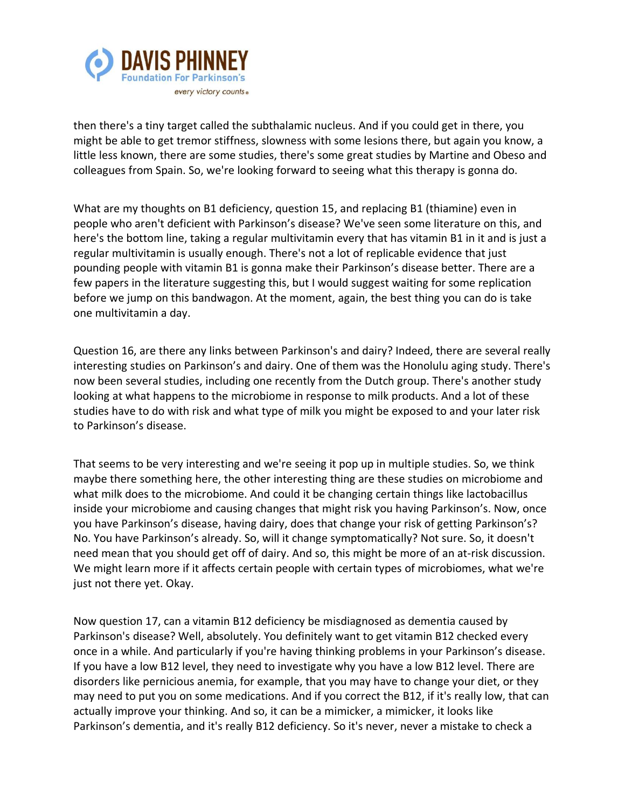

then there's a tiny target called the subthalamic nucleus. And if you could get in there, you might be able to get tremor stiffness, slowness with some lesions there, but again you know, a little less known, there are some studies, there's some great studies by Martine and Obeso and colleagues from Spain. So, we're looking forward to seeing what this therapy is gonna do.

What are my thoughts on B1 deficiency, question 15, and replacing B1 (thiamine) even in people who aren't deficient with Parkinson's disease? We've seen some literature on this, and here's the bottom line, taking a regular multivitamin every that has vitamin B1 in it and is just a regular multivitamin is usually enough. There's not a lot of replicable evidence that just pounding people with vitamin B1 is gonna make their Parkinson's disease better. There are a few papers in the literature suggesting this, but I would suggest waiting for some replication before we jump on this bandwagon. At the moment, again, the best thing you can do is take one multivitamin a day.

Question 16, are there any links between Parkinson's and dairy? Indeed, there are several really interesting studies on Parkinson's and dairy. One of them was the Honolulu aging study. There's now been several studies, including one recently from the Dutch group. There's another study looking at what happens to the microbiome in response to milk products. And a lot of these studies have to do with risk and what type of milk you might be exposed to and your later risk to Parkinson's disease.

That seems to be very interesting and we're seeing it pop up in multiple studies. So, we think maybe there something here, the other interesting thing are these studies on microbiome and what milk does to the microbiome. And could it be changing certain things like lactobacillus inside your microbiome and causing changes that might risk you having Parkinson's. Now, once you have Parkinson's disease, having dairy, does that change your risk of getting Parkinson's? No. You have Parkinson's already. So, will it change symptomatically? Not sure. So, it doesn't need mean that you should get off of dairy. And so, this might be more of an at-risk discussion. We might learn more if it affects certain people with certain types of microbiomes, what we're just not there yet. Okay.

Now question 17, can a vitamin B12 deficiency be misdiagnosed as dementia caused by Parkinson's disease? Well, absolutely. You definitely want to get vitamin B12 checked every once in a while. And particularly if you're having thinking problems in your Parkinson's disease. If you have a low B12 level, they need to investigate why you have a low B12 level. There are disorders like pernicious anemia, for example, that you may have to change your diet, or they may need to put you on some medications. And if you correct the B12, if it's really low, that can actually improve your thinking. And so, it can be a mimicker, a mimicker, it looks like Parkinson's dementia, and it's really B12 deficiency. So it's never, never a mistake to check a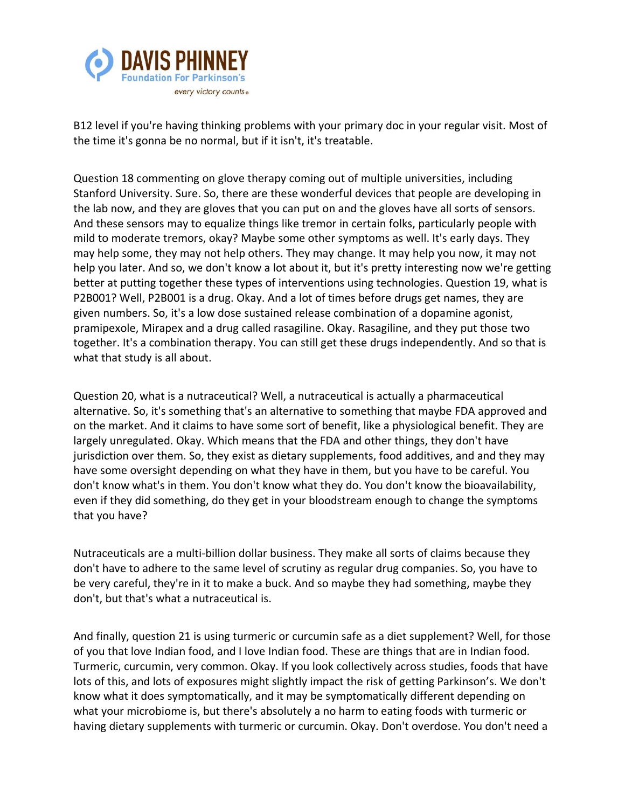

B12 level if you're having thinking problems with your primary doc in your regular visit. Most of the time it's gonna be no normal, but if it isn't, it's treatable.

Question 18 commenting on glove therapy coming out of multiple universities, including Stanford University. Sure. So, there are these wonderful devices that people are developing in the lab now, and they are gloves that you can put on and the gloves have all sorts of sensors. And these sensors may to equalize things like tremor in certain folks, particularly people with mild to moderate tremors, okay? Maybe some other symptoms as well. It's early days. They may help some, they may not help others. They may change. It may help you now, it may not help you later. And so, we don't know a lot about it, but it's pretty interesting now we're getting better at putting together these types of interventions using technologies. Question 19, what is P2B001? Well, P2B001 is a drug. Okay. And a lot of times before drugs get names, they are given numbers. So, it's a low dose sustained release combination of a dopamine agonist, pramipexole, Mirapex and a drug called rasagiline. Okay. Rasagiline, and they put those two together. It's a combination therapy. You can still get these drugs independently. And so that is what that study is all about.

Question 20, what is a nutraceutical? Well, a nutraceutical is actually a pharmaceutical alternative. So, it's something that's an alternative to something that maybe FDA approved and on the market. And it claims to have some sort of benefit, like a physiological benefit. They are largely unregulated. Okay. Which means that the FDA and other things, they don't have jurisdiction over them. So, they exist as dietary supplements, food additives, and and they may have some oversight depending on what they have in them, but you have to be careful. You don't know what's in them. You don't know what they do. You don't know the bioavailability, even if they did something, do they get in your bloodstream enough to change the symptoms that you have?

Nutraceuticals are a multi-billion dollar business. They make all sorts of claims because they don't have to adhere to the same level of scrutiny as regular drug companies. So, you have to be very careful, they're in it to make a buck. And so maybe they had something, maybe they don't, but that's what a nutraceutical is.

And finally, question 21 is using turmeric or curcumin safe as a diet supplement? Well, for those of you that love Indian food, and I love Indian food. These are things that are in Indian food. Turmeric, curcumin, very common. Okay. If you look collectively across studies, foods that have lots of this, and lots of exposures might slightly impact the risk of getting Parkinson's. We don't know what it does symptomatically, and it may be symptomatically different depending on what your microbiome is, but there's absolutely a no harm to eating foods with turmeric or having dietary supplements with turmeric or curcumin. Okay. Don't overdose. You don't need a